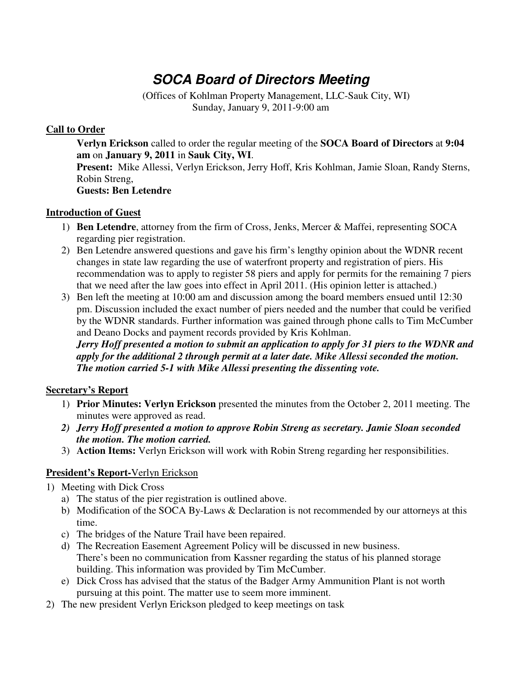# **SOCA Board of Directors Meeting**

(Offices of Kohlman Property Management, LLC-Sauk City, WI) Sunday, January 9, 2011-9:00 am

## **Call to Order**

**Verlyn Erickson** called to order the regular meeting of the **SOCA Board of Directors** at **9:04 am** on **January 9, 2011** in **Sauk City, WI**.

**Present:** Mike Allessi, Verlyn Erickson, Jerry Hoff, Kris Kohlman, Jamie Sloan, Randy Sterns, Robin Streng,

**Guests: Ben Letendre**

### **Introduction of Guest**

- 1) **Ben Letendre**, attorney from the firm of Cross, Jenks, Mercer & Maffei, representing SOCA regarding pier registration.
- 2) Ben Letendre answered questions and gave his firm's lengthy opinion about the WDNR recent changes in state law regarding the use of waterfront property and registration of piers. His recommendation was to apply to register 58 piers and apply for permits for the remaining 7 piers that we need after the law goes into effect in April 2011. (His opinion letter is attached.)
- 3) Ben left the meeting at 10:00 am and discussion among the board members ensued until 12:30 pm. Discussion included the exact number of piers needed and the number that could be verified by the WDNR standards. Further information was gained through phone calls to Tim McCumber and Deano Docks and payment records provided by Kris Kohlman.

*Jerry Hoff presented a motion to submit an application to apply for 31 piers to the WDNR and apply for the additional 2 through permit at a later date. Mike Allessi seconded the motion. The motion carried 5-1 with Mike Allessi presenting the dissenting vote.*

# **Secretary's Report**

- 1) **Prior Minutes: Verlyn Erickson** presented the minutes from the October 2, 2011 meeting. The minutes were approved as read.
- *2) Jerry Hoff presented a motion to approve Robin Streng as secretary. Jamie Sloan seconded the motion. The motion carried.*
- 3) **Action Items:** Verlyn Erickson will work with Robin Streng regarding her responsibilities.

# **President's Report-**Verlyn Erickson

- 1) Meeting with Dick Cross
	- a) The status of the pier registration is outlined above.
	- b) Modification of the SOCA By-Laws & Declaration is not recommended by our attorneys at this time.
	- c) The bridges of the Nature Trail have been repaired.
	- d) The Recreation Easement Agreement Policy will be discussed in new business. There's been no communication from Kassner regarding the status of his planned storage building. This information was provided by Tim McCumber.
	- e) Dick Cross has advised that the status of the Badger Army Ammunition Plant is not worth pursuing at this point. The matter use to seem more imminent.
- 2) The new president Verlyn Erickson pledged to keep meetings on task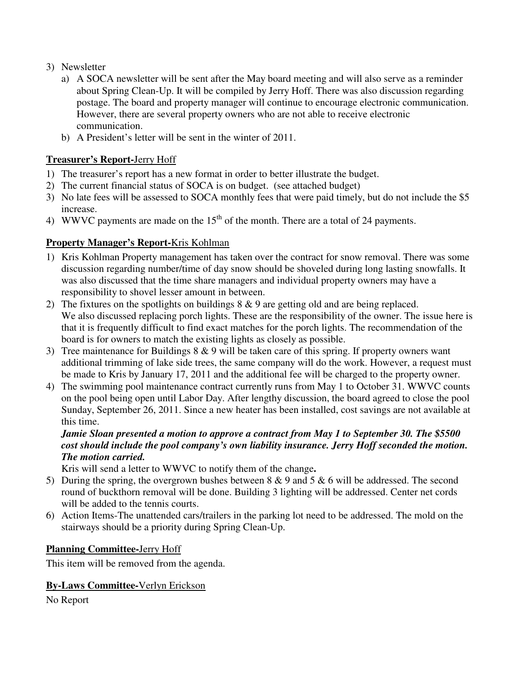- 3) Newsletter
	- a) A SOCA newsletter will be sent after the May board meeting and will also serve as a reminder about Spring Clean-Up. It will be compiled by Jerry Hoff. There was also discussion regarding postage. The board and property manager will continue to encourage electronic communication. However, there are several property owners who are not able to receive electronic communication.
	- b) A President's letter will be sent in the winter of 2011.

# **Treasurer's Report-**Jerry Hoff

- 1) The treasurer's report has a new format in order to better illustrate the budget.
- 2) The current financial status of SOCA is on budget. (see attached budget)
- 3) No late fees will be assessed to SOCA monthly fees that were paid timely, but do not include the \$5 increase.
- 4) WWVC payments are made on the  $15<sup>th</sup>$  of the month. There are a total of 24 payments.

## **Property Manager's Report-**Kris Kohlman

- 1) Kris Kohlman Property management has taken over the contract for snow removal. There was some discussion regarding number/time of day snow should be shoveled during long lasting snowfalls. It was also discussed that the time share managers and individual property owners may have a responsibility to shovel lesser amount in between.
- 2) The fixtures on the spotlights on buildings 8 & 9 are getting old and are being replaced. We also discussed replacing porch lights. These are the responsibility of the owner. The issue here is that it is frequently difficult to find exact matches for the porch lights. The recommendation of the board is for owners to match the existing lights as closely as possible.
- 3) Tree maintenance for Buildings 8 & 9 will be taken care of this spring. If property owners want additional trimming of lake side trees, the same company will do the work. However, a request must be made to Kris by January 17, 2011 and the additional fee will be charged to the property owner.
- 4) The swimming pool maintenance contract currently runs from May 1 to October 31. WWVC counts on the pool being open until Labor Day. After lengthy discussion, the board agreed to close the pool Sunday, September 26, 2011. Since a new heater has been installed, cost savings are not available at this time.

## *Jamie Sloan presented a motion to approve a contract from May 1 to September 30. The \$5500 cost should include the pool company's own liability insurance. Jerry Hoff seconded the motion. The motion carried.*

Kris will send a letter to WWVC to notify them of the change**.** 

- 5) During the spring, the overgrown bushes between 8 & 9 and 5 & 6 will be addressed. The second round of buckthorn removal will be done. Building 3 lighting will be addressed. Center net cords will be added to the tennis courts.
- 6) Action Items-The unattended cars/trailers in the parking lot need to be addressed. The mold on the stairways should be a priority during Spring Clean-Up.

# **Planning Committee-**Jerry Hoff

This item will be removed from the agenda.

### **By-Laws Committee-**Verlyn Erickson

No Report